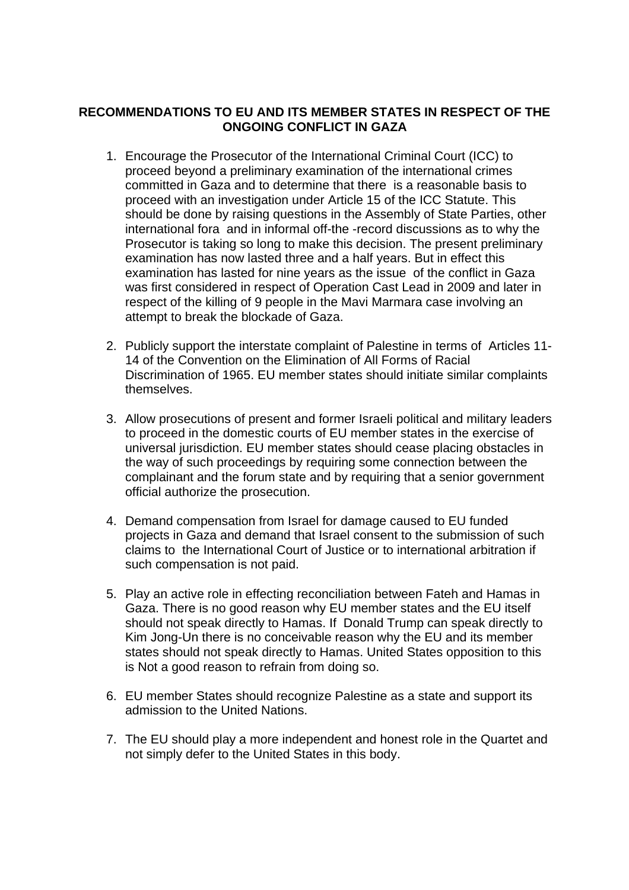## **RECOMMENDATIONS TO EU AND ITS MEMBER STATES IN RESPECT OF THE ONGOING CONFLICT IN GAZA**

- 1. Encourage the Prosecutor of the International Criminal Court (ICC) to proceed beyond a preliminary examination of the international crimes committed in Gaza and to determine that there is a reasonable basis to proceed with an investigation under Article 15 of the ICC Statute. This should be done by raising questions in the Assembly of State Parties, other international fora and in informal off-the -record discussions as to why the Prosecutor is taking so long to make this decision. The present preliminary examination has now lasted three and a half years. But in effect this examination has lasted for nine years as the issue of the conflict in Gaza was first considered in respect of Operation Cast Lead in 2009 and later in respect of the killing of 9 people in the Mavi Marmara case involving an attempt to break the blockade of Gaza.
- 2. Publicly support the interstate complaint of Palestine in terms of Articles 11- 14 of the Convention on the Elimination of All Forms of Racial Discrimination of 1965. EU member states should initiate similar complaints themselves.
- 3. Allow prosecutions of present and former Israeli political and military leaders to proceed in the domestic courts of EU member states in the exercise of universal jurisdiction. EU member states should cease placing obstacles in the way of such proceedings by requiring some connection between the complainant and the forum state and by requiring that a senior government official authorize the prosecution.
- 4. Demand compensation from Israel for damage caused to EU funded projects in Gaza and demand that Israel consent to the submission of such claims to the International Court of Justice or to international arbitration if such compensation is not paid.
- 5. Play an active role in effecting reconciliation between Fateh and Hamas in Gaza. There is no good reason why EU member states and the EU itself should not speak directly to Hamas. If Donald Trump can speak directly to Kim Jong-Un there is no conceivable reason why the EU and its member states should not speak directly to Hamas. United States opposition to this is Not a good reason to refrain from doing so.
- 6. EU member States should recognize Palestine as a state and support its admission to the United Nations.
- 7. The EU should play a more independent and honest role in the Quartet and not simply defer to the United States in this body.